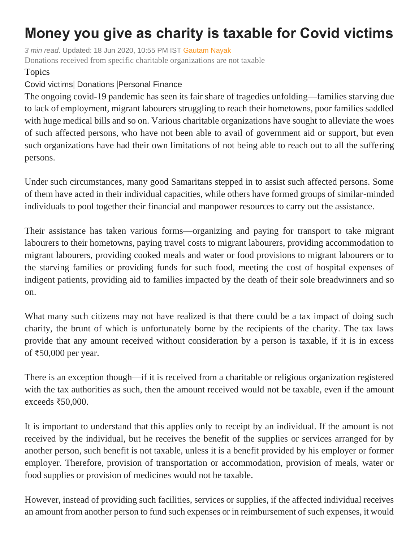## **Money you give as charity is taxable for Covid victims**

*3 min read*. Updated: 18 Jun 2020, 10:55 PM IST [Gautam Nayak](https://www.livemint.com/Search/Link/Author/Gautam-Nayak) Donations received from specific charitable organizations are not taxable

## Topics

## Covid [victims](https://www.livemint.com/topic/covid-victims)| [Donations](https://www.livemint.com/topic/donations) |[Personal Finance](https://www.livemint.com/topic/personal-finance)

The ongoing covid-19 pandemic has seen its fair share of tragedies unfolding—families starving due to lack of employment, migrant labourers struggling to reach their hometowns, poor families saddled with huge medical bills and so on. Various charitable organizations have sought to alleviate the woes of such affected persons, who have not been able to avail of government aid or support, but even such organizations have had their own limitations of not being able to reach out to all the suffering persons.

Under such circumstances, many good Samaritans stepped in to assist such affected persons. Some of them have acted in their individual capacities, while others have formed groups of similar-minded individuals to pool together their financial and manpower resources to carry out the assistance.

Their assistance has taken various forms—organizing and paying for transport to take migrant labourers to their hometowns, paying travel costs to migrant labourers, providing accommodation to migrant labourers, providing cooked meals and water or food provisions to migrant labourers or to the starving families or providing funds for such food, meeting the cost of hospital expenses of indigent patients, providing aid to families impacted by the death of their sole breadwinners and so on.

What many such citizens may not have realized is that there could be a tax impact of doing such charity, the brunt of which is unfortunately borne by the recipients of the charity. The tax laws provide that any amount received without consideration by a person is taxable, if it is in excess of ₹50,000 per year.

There is an exception though—if it is received from a charitable or religious organization registered with the tax authorities as such, then the amount received would not be taxable, even if the amount exceeds ₹50,000.

It is important to understand that this applies only to receipt by an individual. If the amount is not received by the individual, but he receives the benefit of the supplies or services arranged for by another person, such benefit is not taxable, unless it is a benefit provided by his employer or former employer. Therefore, provision of transportation or accommodation, provision of meals, water or food supplies or provision of medicines would not be taxable.

However, instead of providing such facilities, services or supplies, if the affected individual receives an amount from another person to fund such expenses or in reimbursement of such expenses, it would